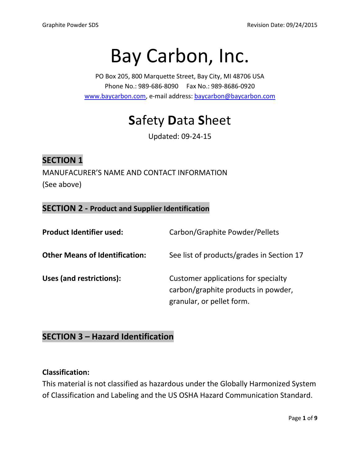# Bay Carbon, Inc.

PO Box 205, 800 Marquette Street, Bay City, MI 48706 USA Phone No.: 989-686-8090 Fax No.: 989-8686-0920 [www.baycarbon.com,](http://www.baycarbon.com/) e-mail address[: baycarbon@baycarbon.com](mailto:baycarbon@baycarbon.com)

## **S**afety **D**ata **S**heet

Updated: 09-24-15

#### **SECTION 1**

MANUFACURER'S NAME AND CONTACT INFORMATION (See above)

#### **SECTION 2 - Product and Supplier Identification**

| <b>Product Identifier used:</b>       | Carbon/Graphite Powder/Pellets                                                                          |
|---------------------------------------|---------------------------------------------------------------------------------------------------------|
| <b>Other Means of Identification:</b> | See list of products/grades in Section 17                                                               |
| Uses (and restrictions):              | Customer applications for specialty<br>carbon/graphite products in powder,<br>granular, or pellet form. |

#### **SECTION 3 – Hazard Identification**

#### **Classification:**

This material is not classified as hazardous under the Globally Harmonized System of Classification and Labeling and the US OSHA Hazard Communication Standard.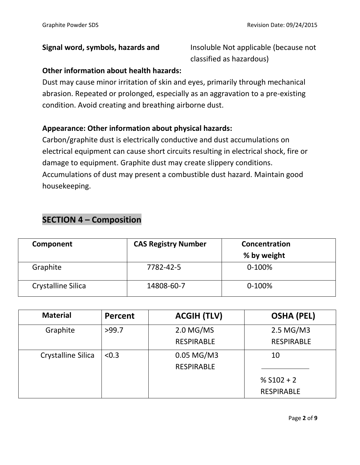**Signal word, symbols, hazards and** Insoluble Not applicable (because not classified as hazardous)

#### **Other information about health hazards:**

Dust may cause minor irritation of skin and eyes, primarily through mechanical abrasion. Repeated or prolonged, especially as an aggravation to a pre-existing condition. Avoid creating and breathing airborne dust.

#### **Appearance: Other information about physical hazards:**

Carbon/graphite dust is electrically conductive and dust accumulations on electrical equipment can cause short circuits resulting in electrical shock, fire or damage to equipment. Graphite dust may create slippery conditions. Accumulations of dust may present a combustible dust hazard. Maintain good housekeeping.

#### **SECTION 4 – Composition**

| Component                 | <b>CAS Registry Number</b> | Concentration<br>% by weight |
|---------------------------|----------------------------|------------------------------|
| Graphite                  | 7782-42-5                  | $0-100%$                     |
| <b>Crystalline Silica</b> | 14808-60-7                 | $0-100%$                     |

| <b>Material</b>    | Percent | <b>ACGIH (TLV)</b> | <b>OSHA (PEL)</b> |
|--------------------|---------|--------------------|-------------------|
| Graphite           | >99.7   | $2.0$ MG/MS        | 2.5 MG/M3         |
|                    |         | <b>RESPIRABLE</b>  | <b>RESPIRABLE</b> |
| Crystalline Silica | < 0.3   | 0.05 MG/M3         | 10                |
|                    |         | <b>RESPIRABLE</b>  |                   |
|                    |         |                    | % $S102 + 2$      |
|                    |         |                    | <b>RESPIRABLE</b> |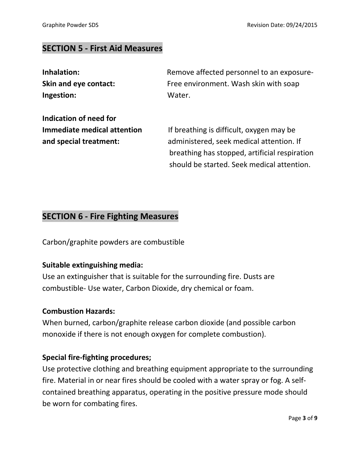#### **SECTION 5 - First Aid Measures**

| Inhalation:            | Remove affected personnel to an exposure- |
|------------------------|-------------------------------------------|
| Skin and eye contact:  | Free environment. Wash skin with soap     |
| Ingestion:             | Water.                                    |
| Indication of need for |                                           |

**Immediate medical attention** If breathing is difficult, oxygen may be **and special treatment:** administered, seek medical attention. If breathing has stopped, artificial respiration should be started. Seek medical attention.

#### **SECTION 6 - Fire Fighting Measures**

Carbon/graphite powders are combustible

#### **Suitable extinguishing media:**

Use an extinguisher that is suitable for the surrounding fire. Dusts are combustible- Use water, Carbon Dioxide, dry chemical or foam.

#### **Combustion Hazards:**

When burned, carbon/graphite release carbon dioxide (and possible carbon monoxide if there is not enough oxygen for complete combustion).

#### **Special fire-fighting procedures;**

Use protective clothing and breathing equipment appropriate to the surrounding fire. Material in or near fires should be cooled with a water spray or fog. A selfcontained breathing apparatus, operating in the positive pressure mode should be worn for combating fires.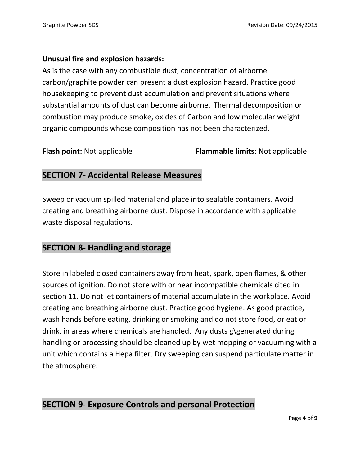#### **Unusual fire and explosion hazards:**

As is the case with any combustible dust, concentration of airborne carbon/graphite powder can present a dust explosion hazard. Practice good housekeeping to prevent dust accumulation and prevent situations where substantial amounts of dust can become airborne. Thermal decomposition or combustion may produce smoke, oxides of Carbon and low molecular weight organic compounds whose composition has not been characterized.

**Flash point:** Not applicable **Flammable limits:** Not applicable

#### **SECTION 7- Accidental Release Measures**

Sweep or vacuum spilled material and place into sealable containers. Avoid creating and breathing airborne dust. Dispose in accordance with applicable waste disposal regulations.

#### **SECTION 8- Handling and storage**

Store in labeled closed containers away from heat, spark, open flames, & other sources of ignition. Do not store with or near incompatible chemicals cited in section 11. Do not let containers of material accumulate in the workplace. Avoid creating and breathing airborne dust. Practice good hygiene. As good practice, wash hands before eating, drinking or smoking and do not store food, or eat or drink, in areas where chemicals are handled. Any dusts g\generated during handling or processing should be cleaned up by wet mopping or vacuuming with a unit which contains a Hepa filter. Dry sweeping can suspend particulate matter in the atmosphere.

#### **SECTION 9- Exposure Controls and personal Protection**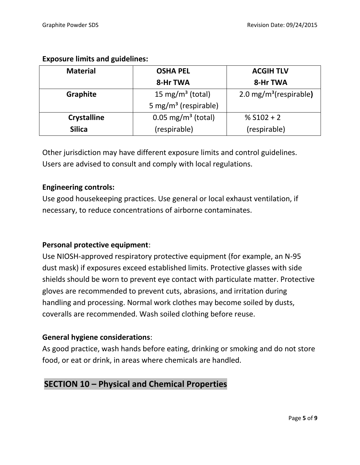| <b>Material</b>    | <b>OSHA PEL</b>                                                      | <b>ACGIH TLV</b> |
|--------------------|----------------------------------------------------------------------|------------------|
|                    | 8-Hr TWA                                                             | 8-Hr TWA         |
| <b>Graphite</b>    | 15 mg/m <sup>3</sup> (total)<br>$2.0 \,\mathrm{mg/m^3}$ (respirable) |                  |
|                    | 5 mg/m <sup>3</sup> (respirable)                                     |                  |
| <b>Crystalline</b> | $0.05 \text{ mg/m}^3$ (total)                                        | % $S102 + 2$     |
| <b>Silica</b>      | (respirable)                                                         | (respirable)     |

#### **Exposure limits and guidelines:**

Other jurisdiction may have different exposure limits and control guidelines. Users are advised to consult and comply with local regulations.

#### **Engineering controls:**

Use good housekeeping practices. Use general or local exhaust ventilation, if necessary, to reduce concentrations of airborne contaminates.

#### **Personal protective equipment**:

Use NIOSH-approved respiratory protective equipment (for example, an N-95 dust mask) if exposures exceed established limits. Protective glasses with side shields should be worn to prevent eye contact with particulate matter. Protective gloves are recommended to prevent cuts, abrasions, and irritation during handling and processing. Normal work clothes may become soiled by dusts, coveralls are recommended. Wash soiled clothing before reuse.

#### **General hygiene considerations**:

As good practice, wash hands before eating, drinking or smoking and do not store food, or eat or drink, in areas where chemicals are handled.

#### **SECTION 10 – Physical and Chemical Properties**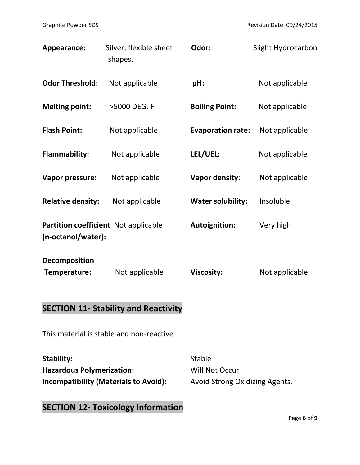| Appearance:                                                | Silver, flexible sheet<br>shapes.           | Odor:                    | Slight Hydrocarbon |
|------------------------------------------------------------|---------------------------------------------|--------------------------|--------------------|
| <b>Odor Threshold:</b>                                     | Not applicable                              | pH:                      | Not applicable     |
| <b>Melting point:</b>                                      | >5000 DEG. F.                               | <b>Boiling Point:</b>    | Not applicable     |
| <b>Flash Point:</b>                                        | Not applicable                              | <b>Evaporation rate:</b> | Not applicable     |
| <b>Flammability:</b>                                       | Not applicable                              | LEL/UEL:                 | Not applicable     |
| Vapor pressure:                                            | Not applicable                              | Vapor density:           | Not applicable     |
| <b>Relative density:</b>                                   | Not applicable                              | <b>Water solubility:</b> | Insoluble          |
| Partition coefficient Not applicable<br>(n-octanol/water): |                                             | <b>Autoignition:</b>     | Very high          |
| Decomposition<br>Temperature:                              | Not applicable                              | <b>Viscosity:</b>        | Not applicable     |
|                                                            | <b>SECTION 11- Stability and Reactivity</b> |                          |                    |

This material is stable and non-reactive

**Stability:** Stable Hazardous Polymerization: Will Not Occur **Incompatibility (Materials to Avoid):** Avoid Strong Oxidizing Agents.

### **SECTION 12- Toxicology Information**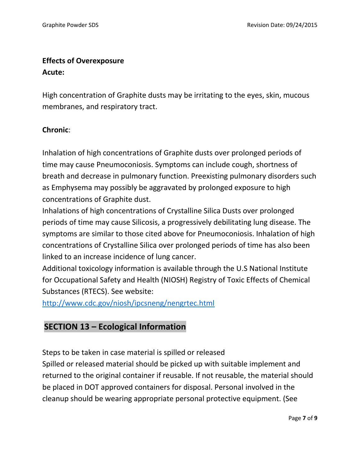#### **Effects of Overexposure Acute:**

High concentration of Graphite dusts may be irritating to the eyes, skin, mucous membranes, and respiratory tract.

#### **Chronic**:

Inhalation of high concentrations of Graphite dusts over prolonged periods of time may cause Pneumoconiosis. Symptoms can include cough, shortness of breath and decrease in pulmonary function. Preexisting pulmonary disorders such as Emphysema may possibly be aggravated by prolonged exposure to high concentrations of Graphite dust.

Inhalations of high concentrations of Crystalline Silica Dusts over prolonged periods of time may cause Silicosis, a progressively debilitating lung disease. The symptoms are similar to those cited above for Pneumoconiosis. Inhalation of high concentrations of Crystalline Silica over prolonged periods of time has also been linked to an increase incidence of lung cancer.

Additional toxicology information is available through the U.S National Institute for Occupational Safety and Health (NIOSH) Registry of Toxic Effects of Chemical Substances (RTECS). See website:

<http://www.cdc.gov/niosh/ipcsneng/nengrtec.html>

#### **SECTION 13 – Ecological Information**

Steps to be taken in case material is spilled or released

Spilled or released material should be picked up with suitable implement and returned to the original container if reusable. If not reusable, the material should be placed in DOT approved containers for disposal. Personal involved in the cleanup should be wearing appropriate personal protective equipment. (See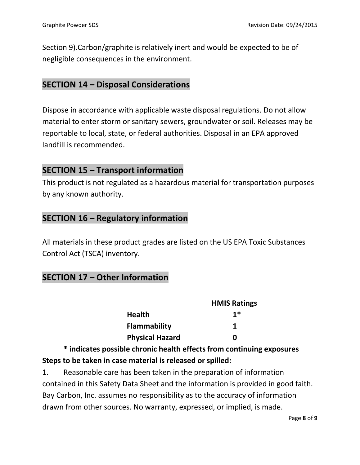Section 9).Carbon/graphite is relatively inert and would be expected to be of negligible consequences in the environment.

#### **SECTION 14 – Disposal Considerations**

Dispose in accordance with applicable waste disposal regulations. Do not allow material to enter storm or sanitary sewers, groundwater or soil. Releases may be reportable to local, state, or federal authorities. Disposal in an EPA approved landfill is recommended.

#### **SECTION 15 – Transport information**

This product is not regulated as a hazardous material for transportation purposes by any known authority.

#### **SECTION 16 – Regulatory information**

All materials in these product grades are listed on the US EPA Toxic Substances Control Act (TSCA) inventory.

#### **SECTION 17 – Other Information**

|                        | <b>HMIS Ratings</b> |
|------------------------|---------------------|
| <b>Health</b>          | $1*$                |
| <b>Flammability</b>    |                     |
| <b>Physical Hazard</b> | n                   |

**\* indicates possible chronic health effects from continuing exposures Steps to be taken in case material is released or spilled:**

1. Reasonable care has been taken in the preparation of information contained in this Safety Data Sheet and the information is provided in good faith. Bay Carbon, Inc. assumes no responsibility as to the accuracy of information drawn from other sources. No warranty, expressed, or implied, is made.